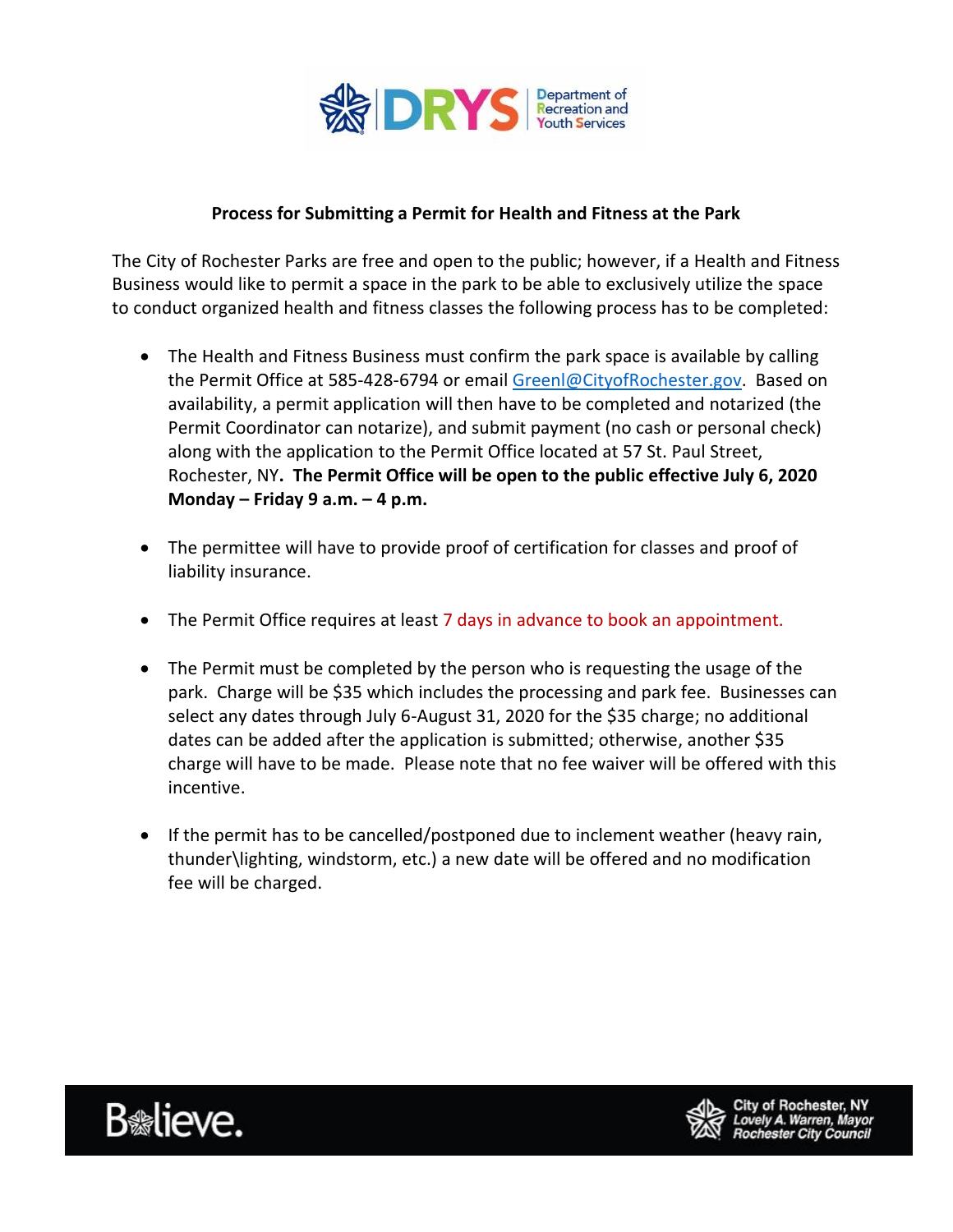

## **Process for Submitting a Permit for Health and Fitness at the Park**

The City of Rochester Parks are free and open to the public; however, if a Health and Fitness Business would like to permit a space in the park to be able to exclusively utilize the space to conduct organized health and fitness classes the following process has to be completed:

- The Health and Fitness Business must confirm the park space is available by calling the Permit Office at 585-428-6794 or email [Greenl@CityofRochester.gov.](mailto:Greenl@CityofRochester.gov) Based on availability, a permit application will then have to be completed and notarized (the Permit Coordinator can notarize), and submit payment (no cash or personal check) along with the application to the Permit Office located at 57 St. Paul Street, Rochester, NY**. The Permit Office will be open to the public effective July 6, 2020 Monday – Friday 9 a.m. – 4 p.m.**
- The permittee will have to provide proof of certification for classes and proof of liability insurance.
- The Permit Office requires at least 7 days in advance to book an appointment.
- The Permit must be completed by the person who is requesting the usage of the park. Charge will be \$35 which includes the processing and park fee. Businesses can select any dates through July 6-August 31, 2020 for the \$35 charge; no additional dates can be added after the application is submitted; otherwise, another \$35 charge will have to be made. Please note that no fee waiver will be offered with this incentive.
- If the permit has to be cancelled/postponed due to inclement weather (heavy rain, thunder\lighting, windstorm, etc.) a new date will be offered and no modification fee will be charged.